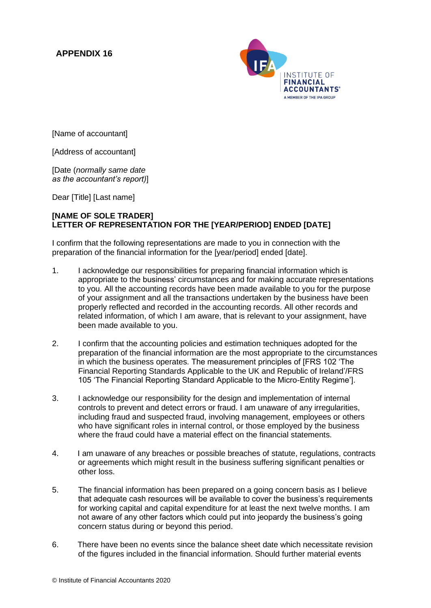## **APPENDIX 16**



[Name of accountant]

[Address of accountant]

[Date (*normally same date as the accountant's report)*]

Dear [Title] [Last name]

## **[NAME OF SOLE TRADER] LETTER OF REPRESENTATION FOR THE [YEAR/PERIOD] ENDED [DATE]**

I confirm that the following representations are made to you in connection with the preparation of the financial information for the [year/period] ended [date].

- 1. I acknowledge our responsibilities for preparing financial information which is appropriate to the business' circumstances and for making accurate representations to you. All the accounting records have been made available to you for the purpose of your assignment and all the transactions undertaken by the business have been properly reflected and recorded in the accounting records. All other records and related information, of which I am aware, that is relevant to your assignment, have been made available to you.
- 2. I confirm that the accounting policies and estimation techniques adopted for the preparation of the financial information are the most appropriate to the circumstances in which the business operates. The measurement principles of [FRS 102 'The Financial Reporting Standards Applicable to the UK and Republic of Ireland'/FRS 105 'The Financial Reporting Standard Applicable to the Micro-Entity Regime'].
- 3. I acknowledge our responsibility for the design and implementation of internal controls to prevent and detect errors or fraud. I am unaware of any irregularities, including fraud and suspected fraud, involving management, employees or others who have significant roles in internal control, or those employed by the business where the fraud could have a material effect on the financial statements.
- 4. I am unaware of any breaches or possible breaches of statute, regulations, contracts or agreements which might result in the business suffering significant penalties or other loss.
- 5. The financial information has been prepared on a going concern basis as I believe that adequate cash resources will be available to cover the business's requirements for working capital and capital expenditure for at least the next twelve months. I am not aware of any other factors which could put into jeopardy the business's going concern status during or beyond this period.
- 6. There have been no events since the balance sheet date which necessitate revision of the figures included in the financial information. Should further material events